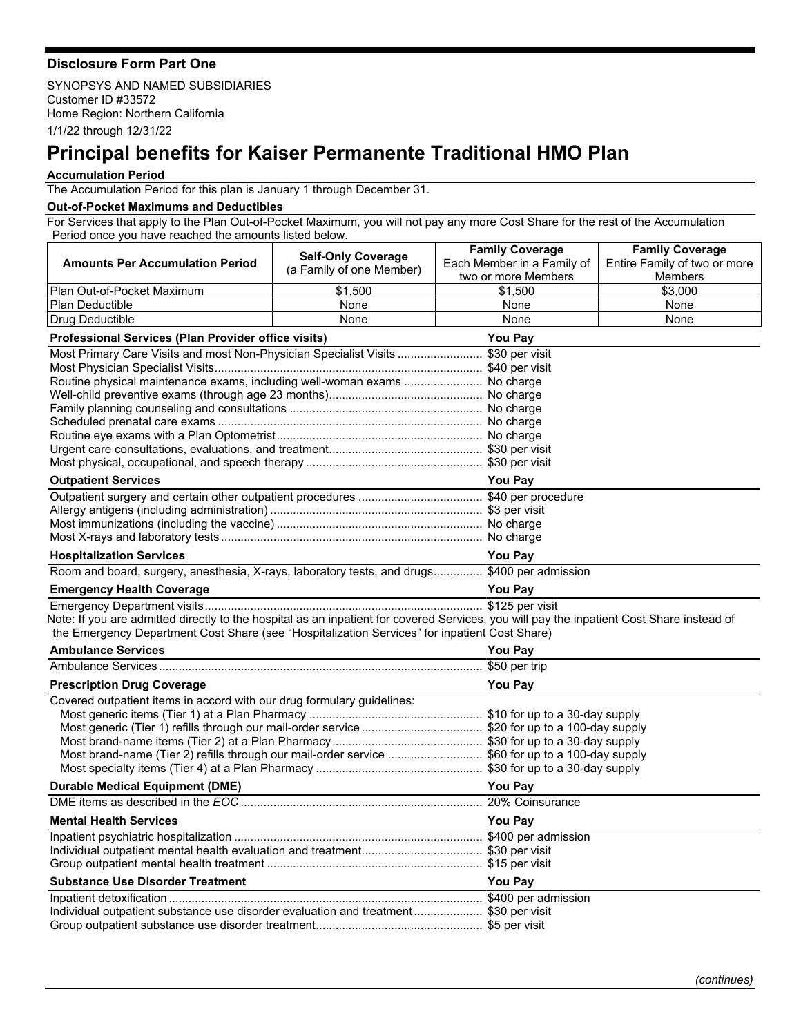## **Disclosure Form Part One**

SYNOPSYS AND NAMED SUBSIDIARIES Customer ID #33572 Home Region: Northern California 1/1/22 through 12/31/22

## **Principal benefits for Kaiser Permanente Traditional HMO Plan**

## **Accumulation Period**

The Accumulation Period for this plan is January 1 through December 31.

## **Out-of-Pocket Maximums and Deductibles**

For Services that apply to the Plan Out-of-Pocket Maximum, you will not pay any more Cost Share for the rest of the Accumulation Period once you have reached the amounts listed below.

|                                                                                                                                           | <b>Self-Only Coverage</b> | <b>Family Coverage</b>     | <b>Family Coverage</b>       |  |
|-------------------------------------------------------------------------------------------------------------------------------------------|---------------------------|----------------------------|------------------------------|--|
| <b>Amounts Per Accumulation Period</b>                                                                                                    | (a Family of one Member)  | Each Member in a Family of | Entire Family of two or more |  |
|                                                                                                                                           |                           | two or more Members        | Members                      |  |
| Plan Out-of-Pocket Maximum                                                                                                                | \$1,500                   | \$1,500                    | \$3,000                      |  |
| <b>Plan Deductible</b>                                                                                                                    | None                      | None                       | None                         |  |
| Drug Deductible                                                                                                                           | None                      | None                       | None                         |  |
| <b>Professional Services (Plan Provider office visits)</b><br><b>You Pay</b>                                                              |                           |                            |                              |  |
| Most Primary Care Visits and most Non-Physician Specialist Visits  \$30 per visit                                                         |                           |                            |                              |  |
|                                                                                                                                           |                           |                            |                              |  |
| Routine physical maintenance exams, including well-woman exams  No charge                                                                 |                           |                            |                              |  |
|                                                                                                                                           |                           |                            |                              |  |
|                                                                                                                                           |                           |                            |                              |  |
|                                                                                                                                           |                           |                            |                              |  |
|                                                                                                                                           |                           |                            |                              |  |
|                                                                                                                                           |                           |                            |                              |  |
|                                                                                                                                           |                           |                            |                              |  |
| <b>Outpatient Services</b>                                                                                                                |                           | <b>You Pay</b>             |                              |  |
|                                                                                                                                           |                           |                            |                              |  |
|                                                                                                                                           |                           |                            |                              |  |
|                                                                                                                                           |                           |                            |                              |  |
|                                                                                                                                           |                           |                            |                              |  |
| <b>Hospitalization Services</b>                                                                                                           |                           | <b>You Pay</b>             |                              |  |
| Room and board, surgery, anesthesia, X-rays, laboratory tests, and drugs \$400 per admission                                              |                           |                            |                              |  |
| <b>Emergency Health Coverage</b>                                                                                                          |                           | <b>You Pay</b>             |                              |  |
|                                                                                                                                           |                           |                            |                              |  |
| Note: If you are admitted directly to the hospital as an inpatient for covered Services, you will pay the inpatient Cost Share instead of |                           |                            |                              |  |
| the Emergency Department Cost Share (see "Hospitalization Services" for inpatient Cost Share)                                             |                           |                            |                              |  |
| <b>Ambulance Services</b>                                                                                                                 |                           | You Pay                    |                              |  |
|                                                                                                                                           |                           |                            |                              |  |
| <b>You Pay</b><br><b>Prescription Drug Coverage</b>                                                                                       |                           |                            |                              |  |
| Covered outpatient items in accord with our drug formulary guidelines:                                                                    |                           |                            |                              |  |
|                                                                                                                                           |                           |                            |                              |  |
|                                                                                                                                           |                           |                            |                              |  |
|                                                                                                                                           |                           |                            |                              |  |
| Most brand-name (Tier 2) refills through our mail-order service \$60 for up to a 100-day supply                                           |                           |                            |                              |  |
|                                                                                                                                           |                           |                            |                              |  |
| <b>Durable Medical Equipment (DME)</b>                                                                                                    |                           | <b>You Pay</b>             |                              |  |
|                                                                                                                                           |                           |                            |                              |  |
| <b>Mental Health Services</b>                                                                                                             |                           | <b>You Pay</b>             |                              |  |
|                                                                                                                                           |                           |                            |                              |  |
|                                                                                                                                           |                           |                            |                              |  |
|                                                                                                                                           |                           |                            |                              |  |
| <b>Substance Use Disorder Treatment</b>                                                                                                   |                           | You Pay                    |                              |  |
|                                                                                                                                           |                           |                            |                              |  |
| Individual outpatient substance use disorder evaluation and treatment \$30 per visit                                                      |                           |                            |                              |  |
|                                                                                                                                           |                           |                            |                              |  |